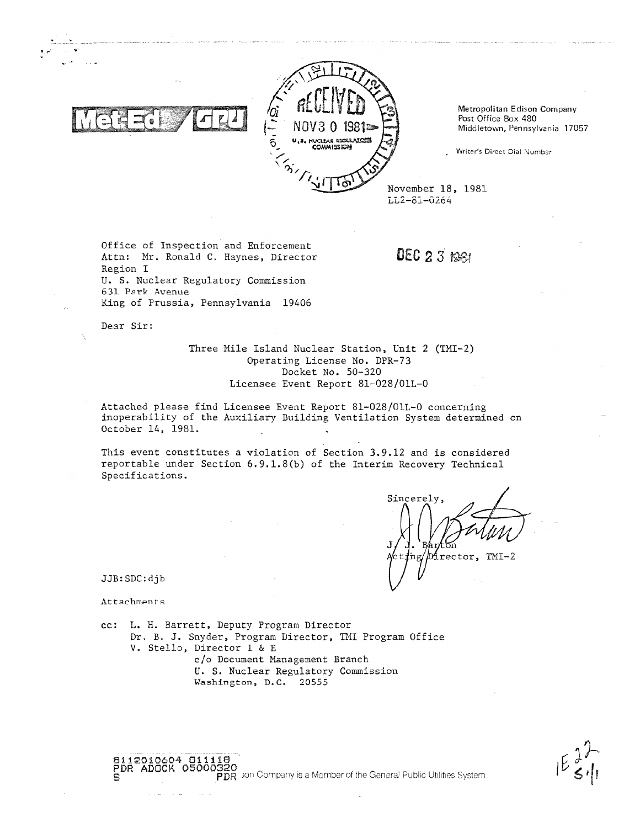

Metropolitan Edison Company Post Office Box 480 Middletown, Pennsylvania 17057

Writer's Direct Dial Number

LL2-81-0264

Office of Inspection and Enforcement Attn: Mr. Ronald C. Haynes, Director Region I U. S. Nuclear Regulatory Commission 631 Park Avenue King of Prussia, Pennsylvania 19406

DEC  $2.3$  Kee

Dear Sir:

Three Mile Island Nuclear Station, Unit 2 (TMI-2) Operating License No. DPR-73 Docket No. 50-320 Licensee Event Report 81-028/01L-0

 $\vec{p}\vec{p}$   $\vec{p}$  son Company is a Member of the General Public Utilities System

Attached please find Licensee Event Report 81-028/01L-0 concerning inoperability of the Auxiliary Building Ventilation System determined on October 14, 1981.

This event constitutes a violation of Section 3.9.12 and is considered reportable under Section 6.9.1.8(b) of the Interim Recovery Technical Specifications.

Sincerely, Director, TMI-2

JJB:SDC:dib

Attachments

8112010604 8111 ADOCK

cc: L. H. Barrett, Deputy Program Director Dr. B. J. Snyder, Program Director, TMI Program Office V. Stello, Director I & E c/o Document Management Branch U. S. Nuclear Regulatory Commission Washington, D.C. 20555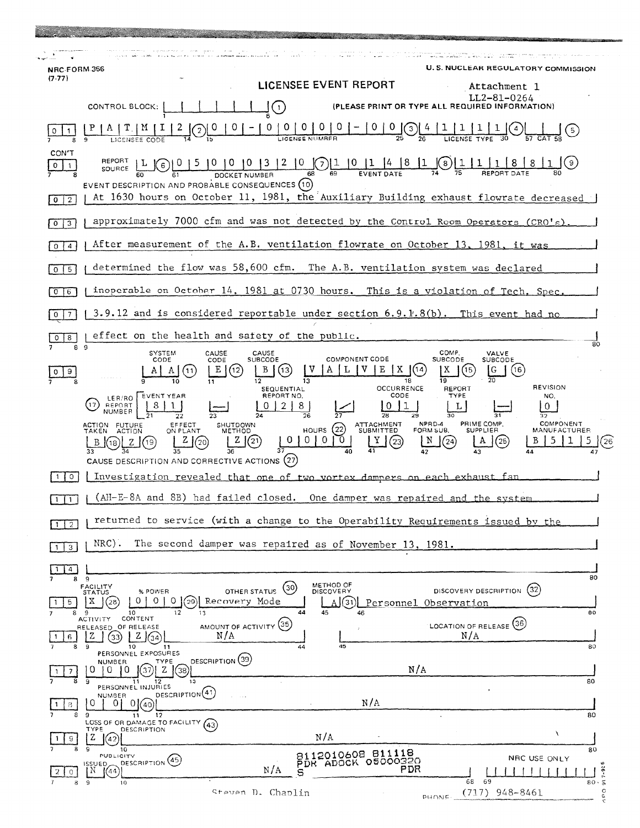| NRC-FORM 356                                                                                        |                                                                                                                                                                                                                                                                                      |                                                                         | <b>U.S. NUCLEAR REGULATORY COMMISSION</b>                                                                         |  |
|-----------------------------------------------------------------------------------------------------|--------------------------------------------------------------------------------------------------------------------------------------------------------------------------------------------------------------------------------------------------------------------------------------|-------------------------------------------------------------------------|-------------------------------------------------------------------------------------------------------------------|--|
| $(7-77)$                                                                                            | LICENSEE EVENT REPORT                                                                                                                                                                                                                                                                |                                                                         | Attachment 1                                                                                                      |  |
|                                                                                                     | CONTROL BLOCK:<br>(1)                                                                                                                                                                                                                                                                |                                                                         | LL2-81-0264<br>(PLEASE PRINT OR TYPE ALL REQUIRED INFORMATION)                                                    |  |
|                                                                                                     |                                                                                                                                                                                                                                                                                      | $0 0 0 - 0 0$<br>SENUMBER                                               |                                                                                                                   |  |
| CON'T<br>0<br>$\overline{2}$<br>$\Omega$                                                            | $\frac{0}{\text{DOCKET NUMSER}} \frac{1}{2} \frac{1}{10} \frac{1}{10} \frac{1}{10} \frac{1}{14} \frac{4}{18}$<br>SOURCE LL<br>$\epsilon$<br>EVENT DESCRIPTION AND PROBABLE CONSEQUENCES (10)<br>At 1630 hours on October 11, 1981, the Auxiliary Building exhaust flowrate decreased |                                                                         | $(8)$ $\boxed{1}$                                                                                                 |  |
| 3<br>0                                                                                              | approximately 7000 cfm and was not detected by the Control Room Operators $(CRO's)$ .                                                                                                                                                                                                |                                                                         |                                                                                                                   |  |
| After measurement of the A.B. ventilation flowrate on October 13, 1981, it was<br>4<br>$\Omega$     |                                                                                                                                                                                                                                                                                      |                                                                         |                                                                                                                   |  |
| 5<br>$\Omega$                                                                                       | determined the flow was 58,600 cfm. The A.B. ventilation system was declared                                                                                                                                                                                                         |                                                                         |                                                                                                                   |  |
| inoperable on October 14, 1981 at 0730 hours. This is a violation of Tech. Spec.<br>6               |                                                                                                                                                                                                                                                                                      |                                                                         |                                                                                                                   |  |
|                                                                                                     | 3.9.12 and is considered reportable under section $6.9.1.8(b)$ . This event had no                                                                                                                                                                                                   |                                                                         |                                                                                                                   |  |
| effect on the health and safety of the public.<br>8<br>0<br>80<br>8 9                               |                                                                                                                                                                                                                                                                                      |                                                                         |                                                                                                                   |  |
|                                                                                                     | <b>SYSTEM</b><br>CAUSE<br>CAUSE<br>CODE<br><b>SUBCODE</b><br>CODE<br>【13】<br>(12<br>SEQUENTIAL<br>REPORT NO.<br>EVENT YEAR<br>LER/RO<br>REPORT<br>17<br>8<br>NUMBER<br>26                                                                                                            | <b>COMPONENT CODE</b><br>18<br><b>OCCURRENCE</b><br>CODE                | COMP.<br>VALVE<br><b>SUBCODE</b><br><b>SUBCODE</b><br>(16<br><b>REVISION</b><br><b>REPORT</b><br>TYPE<br>NO.<br>0 |  |
|                                                                                                     | EFFECT<br><b>SHUTDOWN</b><br>ACTION FUTURE<br>TAKEN ACTION<br>HOURS $(22)$<br>ON PLANT<br>METHOD<br>(21)<br>0<br>$^{\circ}$<br>z<br>(19)<br>(18)<br>CAUSE DESCRIPTION AND CORRECTIVE ACTIONS (27)                                                                                    | NPRD-4<br>ATTACHMENT<br>SUBMITTED<br>FORM SUB.<br>$\Omega$<br>(23)<br>N | PRIME COMP.<br>COMPONENT<br><b>SUPPLIER</b><br>MANUFACTURER<br>(24)<br>(25                                        |  |
| Investigation revealed that one of two vortex dampers on each exhaust fan<br>$\circ$                |                                                                                                                                                                                                                                                                                      |                                                                         |                                                                                                                   |  |
|                                                                                                     | (AH-E-8A and 8B) had failed closed. One damper was repaired and the system                                                                                                                                                                                                           |                                                                         |                                                                                                                   |  |
| returned to service (with a change to the Operability Requirements issued by the<br>$1 \mid 2 \mid$ |                                                                                                                                                                                                                                                                                      |                                                                         |                                                                                                                   |  |
| $NRC$ ).<br>The second damper was repaired as of November 13, 1981.<br>$\overline{3}$               |                                                                                                                                                                                                                                                                                      |                                                                         |                                                                                                                   |  |
| $\overline{4}$<br>-1<br>8                                                                           | -9                                                                                                                                                                                                                                                                                   |                                                                         | 80                                                                                                                |  |
| 5.                                                                                                  | <b>FACILITY</b><br>(30)<br>OTHER STATUS<br>% POWER<br>STATUS<br>$\circ$<br>(29)<br>0.<br>$\circ$<br>Recovery Mode<br>X.<br>1(28)<br>13<br>45<br>12<br>44<br>10                                                                                                                       | METHOD OF<br>DISCOVERY<br>A (31)<br>Personnel Observation               | DISCOVERY DESCRIPTION (32)<br>80                                                                                  |  |
| 6                                                                                                   | CONTENT<br>ACTIVITY<br>AMOUNT OF ACTIVITY (35)<br>RELEASED OF RELEASE<br>N/A<br>Z<br>$Z \mid 34$<br>33)<br>10<br>44<br>9                                                                                                                                                             | 45                                                                      | LOCATION OF RELEASE (36)<br>N/A<br>80                                                                             |  |
|                                                                                                     | 11<br>PERSONNEL EXPOSURES<br>DESCRIPTION (39)<br><b>NUMBER</b><br>TYPE                                                                                                                                                                                                               |                                                                         |                                                                                                                   |  |
| $\overline{7}$                                                                                      | U<br>0<br>(38)<br>Ð<br>Z<br>9<br>11<br>12<br>13<br>PERSONNEL INJURIES                                                                                                                                                                                                                | N/A                                                                     | 80                                                                                                                |  |
| 8                                                                                                   | DESCRIPTION (41)<br><b>NUMBER</b><br>O<br>01<br>01<br>40<br>9<br>12<br>11                                                                                                                                                                                                            | N/A                                                                     | 80                                                                                                                |  |
| 9                                                                                                   | LOSS OF OR DAMAGE TO FACILITY (43)<br>TYPE<br>DESCRIPTION<br>N/A<br>Z<br>(42)                                                                                                                                                                                                        |                                                                         | À                                                                                                                 |  |
|                                                                                                     | 10<br>PUBLICITY<br>DESCRIPTION <sup>(45)</sup><br>ISSUED.                                                                                                                                                                                                                            | 8112010608 811118<br>PDR ADOCK 05000320                                 | 80<br>NRC USE ONLY                                                                                                |  |
| $\circ$                                                                                             | N/A<br>(44)<br>IN.<br>s<br>8 9<br>10<br>Steven D. Chaplin                                                                                                                                                                                                                            | PDR                                                                     | $7 - 92$<br>69<br>68<br>$80 \cdot 5$<br>948-8461<br>(717)                                                         |  |
|                                                                                                     |                                                                                                                                                                                                                                                                                      | PHONE.                                                                  | cod                                                                                                               |  |

e de la componentación de la componentación de la componentación de la componentación de la componentación de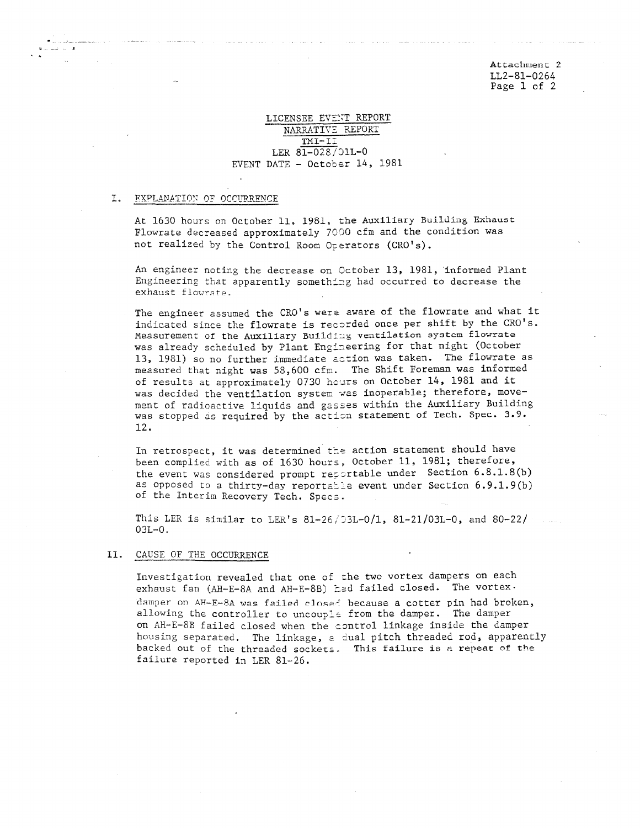Attachment <sup>2</sup> \_ LL2-81-0264 Page 1 of 2

# LICENSEE EVENT REPORT NARRATIVE REPORT TMI- II LER 81-028/D1L-0 EVENT DATE - October 14, 1981

#### I. **FXPLANATION OF OCCURRENCE**

.

 $\ddot{\phantom{0}}$ 

At 1630 hours on October 11, 1981, the Auxiliary Building Exhaust Flowrate decreased approximately 7000 cfm and the condition was not realized by the Control Room Operators (CRO's).

An engineer noting the decrease on October 13, 1981, informed Plant Engineering that apparently something had occurred to decrease the exhaust flowrate.

The engineer assumed the CRO's were aware of the flowrate and what it indicated since the flowrate is recorded once per shift by the CRO's. Measurement of the Auxiliary Building ventilation system flowrate was already scheduled by Plant Engineering for that night (October 13, 1981) so no further immediate action was taken. The flowrate as measured that night was 58,600 cfm. The Shift Foreman was informed of results at approximately 0730 hours on October 14, 1981 and it was decided the ventilation system was inoperable; therefore, movement of radioactive liquids and gasses within the Auxiliary Building was stopped as required by the action statement of Tech. Spec. 3.9. 12.

In retrospect, it was determined the action statement should have been complied with as of 1630 hours, October 11, 1981; therefore, the event was considered prompt reportable under Section  $6.8.1.8(b)$ as opposed to a thirty-day reportable event under Section  $6.9.1.9(b)$ of the Interim Recovery Tech. Specs.

This LER is similar to LER's  $81-26/33L-0/1$ ,  $81-21/03L-0$ , and  $80-22/$ 03L-0.

### II. CAUSE OF THE OCCURRENCE

Investigation revealed that one of the two vortex dampers on each exhaust fan (AH-E-8A and AH-E-8B) had failed closed. The vortex• damper on AH-E-8A was failed closed because a cotter pin had broken, allowing the controller to uncouple from the damper. The damper on AH-E-8B failed closed when the control linkage inside the damper housing separated. The linkage, a dual pitch threaded rod, apparently backed out of the threaded sockets. This failure is a repeat of the failure reported in LER 81-26.